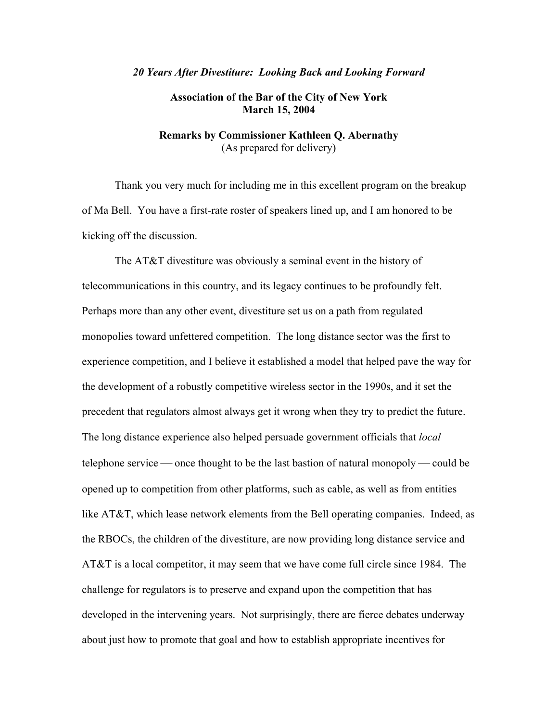#### *20 Years After Divestiture: Looking Back and Looking Forward*

# **Association of the Bar of the City of New York March 15, 2004**

# **Remarks by Commissioner Kathleen Q. Abernathy**  (As prepared for delivery)

 Thank you very much for including me in this excellent program on the breakup of Ma Bell. You have a first-rate roster of speakers lined up, and I am honored to be kicking off the discussion.

 The AT&T divestiture was obviously a seminal event in the history of telecommunications in this country, and its legacy continues to be profoundly felt. Perhaps more than any other event, divestiture set us on a path from regulated monopolies toward unfettered competition. The long distance sector was the first to experience competition, and I believe it established a model that helped pave the way for the development of a robustly competitive wireless sector in the 1990s, and it set the precedent that regulators almost always get it wrong when they try to predict the future. The long distance experience also helped persuade government officials that *local* telephone service — once thought to be the last bastion of natural monopoly — could be opened up to competition from other platforms, such as cable, as well as from entities like AT&T, which lease network elements from the Bell operating companies. Indeed, as the RBOCs, the children of the divestiture, are now providing long distance service and AT&T is a local competitor, it may seem that we have come full circle since 1984. The challenge for regulators is to preserve and expand upon the competition that has developed in the intervening years. Not surprisingly, there are fierce debates underway about just how to promote that goal and how to establish appropriate incentives for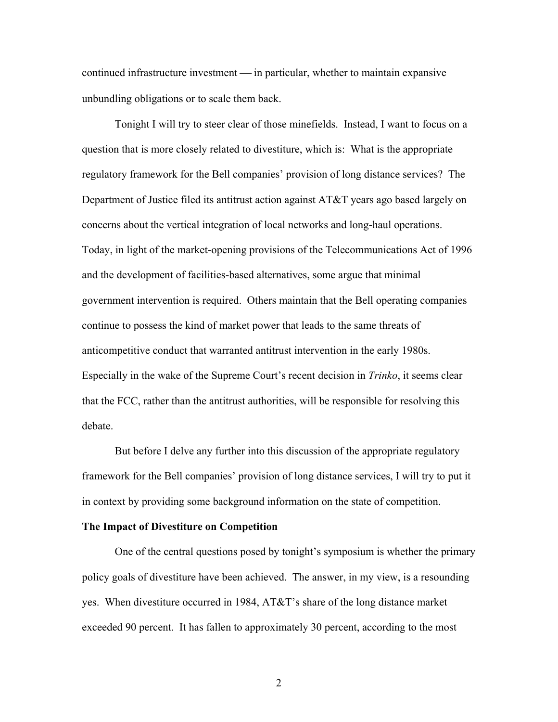continued infrastructure investment — in particular, whether to maintain expansive unbundling obligations or to scale them back.

 Tonight I will try to steer clear of those minefields. Instead, I want to focus on a question that is more closely related to divestiture, which is: What is the appropriate regulatory framework for the Bell companies' provision of long distance services? The Department of Justice filed its antitrust action against AT&T years ago based largely on concerns about the vertical integration of local networks and long-haul operations. Today, in light of the market-opening provisions of the Telecommunications Act of 1996 and the development of facilities-based alternatives, some argue that minimal government intervention is required. Others maintain that the Bell operating companies continue to possess the kind of market power that leads to the same threats of anticompetitive conduct that warranted antitrust intervention in the early 1980s. Especially in the wake of the Supreme Court's recent decision in *Trinko*, it seems clear that the FCC, rather than the antitrust authorities, will be responsible for resolving this debate.

 But before I delve any further into this discussion of the appropriate regulatory framework for the Bell companies' provision of long distance services, I will try to put it in context by providing some background information on the state of competition.

# **The Impact of Divestiture on Competition**

 One of the central questions posed by tonight's symposium is whether the primary policy goals of divestiture have been achieved. The answer, in my view, is a resounding yes. When divestiture occurred in 1984, AT&T's share of the long distance market exceeded 90 percent. It has fallen to approximately 30 percent, according to the most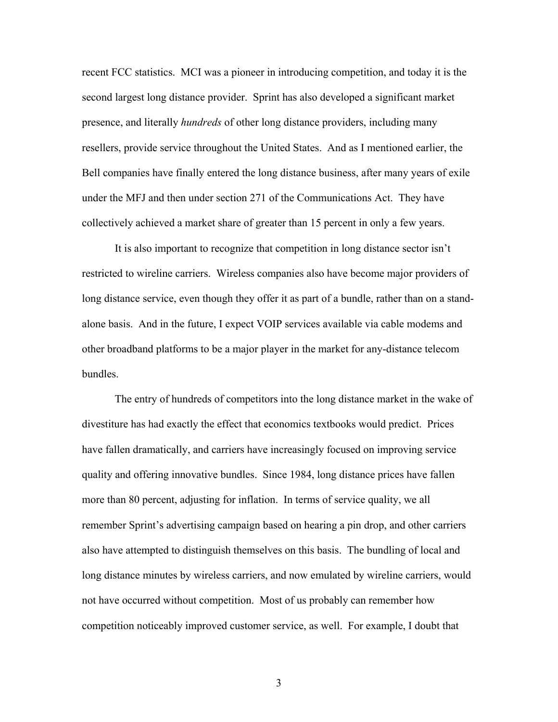recent FCC statistics. MCI was a pioneer in introducing competition, and today it is the second largest long distance provider. Sprint has also developed a significant market presence, and literally *hundreds* of other long distance providers, including many resellers, provide service throughout the United States. And as I mentioned earlier, the Bell companies have finally entered the long distance business, after many years of exile under the MFJ and then under section 271 of the Communications Act. They have collectively achieved a market share of greater than 15 percent in only a few years.

It is also important to recognize that competition in long distance sector isn't restricted to wireline carriers. Wireless companies also have become major providers of long distance service, even though they offer it as part of a bundle, rather than on a standalone basis. And in the future, I expect VOIP services available via cable modems and other broadband platforms to be a major player in the market for any-distance telecom bundles.

The entry of hundreds of competitors into the long distance market in the wake of divestiture has had exactly the effect that economics textbooks would predict. Prices have fallen dramatically, and carriers have increasingly focused on improving service quality and offering innovative bundles. Since 1984, long distance prices have fallen more than 80 percent, adjusting for inflation. In terms of service quality, we all remember Sprint's advertising campaign based on hearing a pin drop, and other carriers also have attempted to distinguish themselves on this basis. The bundling of local and long distance minutes by wireless carriers, and now emulated by wireline carriers, would not have occurred without competition. Most of us probably can remember how competition noticeably improved customer service, as well. For example, I doubt that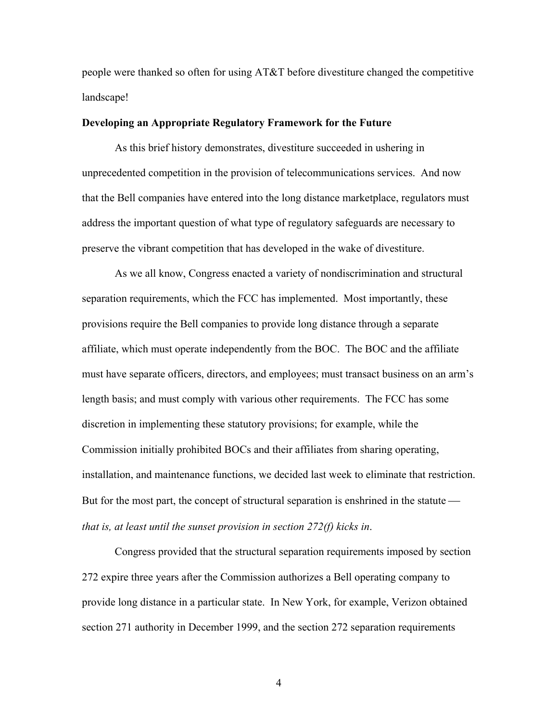people were thanked so often for using AT&T before divestiture changed the competitive landscape!

### **Developing an Appropriate Regulatory Framework for the Future**

As this brief history demonstrates, divestiture succeeded in ushering in unprecedented competition in the provision of telecommunications services. And now that the Bell companies have entered into the long distance marketplace, regulators must address the important question of what type of regulatory safeguards are necessary to preserve the vibrant competition that has developed in the wake of divestiture.

As we all know, Congress enacted a variety of nondiscrimination and structural separation requirements, which the FCC has implemented. Most importantly, these provisions require the Bell companies to provide long distance through a separate affiliate, which must operate independently from the BOC. The BOC and the affiliate must have separate officers, directors, and employees; must transact business on an arm's length basis; and must comply with various other requirements. The FCC has some discretion in implementing these statutory provisions; for example, while the Commission initially prohibited BOCs and their affiliates from sharing operating, installation, and maintenance functions, we decided last week to eliminate that restriction. But for the most part, the concept of structural separation is enshrined in the statute *that is, at least until the sunset provision in section 272(f) kicks in*.

Congress provided that the structural separation requirements imposed by section 272 expire three years after the Commission authorizes a Bell operating company to provide long distance in a particular state. In New York, for example, Verizon obtained section 271 authority in December 1999, and the section 272 separation requirements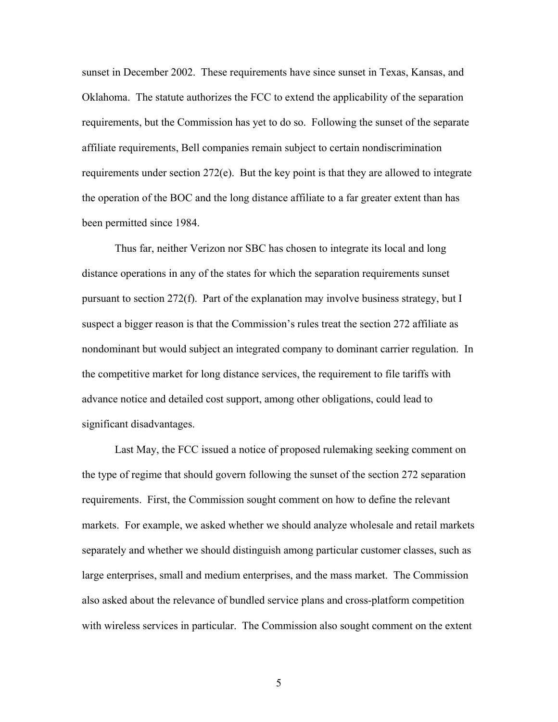sunset in December 2002. These requirements have since sunset in Texas, Kansas, and Oklahoma. The statute authorizes the FCC to extend the applicability of the separation requirements, but the Commission has yet to do so. Following the sunset of the separate affiliate requirements, Bell companies remain subject to certain nondiscrimination requirements under section 272(e). But the key point is that they are allowed to integrate the operation of the BOC and the long distance affiliate to a far greater extent than has been permitted since 1984.

Thus far, neither Verizon nor SBC has chosen to integrate its local and long distance operations in any of the states for which the separation requirements sunset pursuant to section 272(f). Part of the explanation may involve business strategy, but I suspect a bigger reason is that the Commission's rules treat the section 272 affiliate as nondominant but would subject an integrated company to dominant carrier regulation. In the competitive market for long distance services, the requirement to file tariffs with advance notice and detailed cost support, among other obligations, could lead to significant disadvantages.

 Last May, the FCC issued a notice of proposed rulemaking seeking comment on the type of regime that should govern following the sunset of the section 272 separation requirements. First, the Commission sought comment on how to define the relevant markets. For example, we asked whether we should analyze wholesale and retail markets separately and whether we should distinguish among particular customer classes, such as large enterprises, small and medium enterprises, and the mass market. The Commission also asked about the relevance of bundled service plans and cross-platform competition with wireless services in particular. The Commission also sought comment on the extent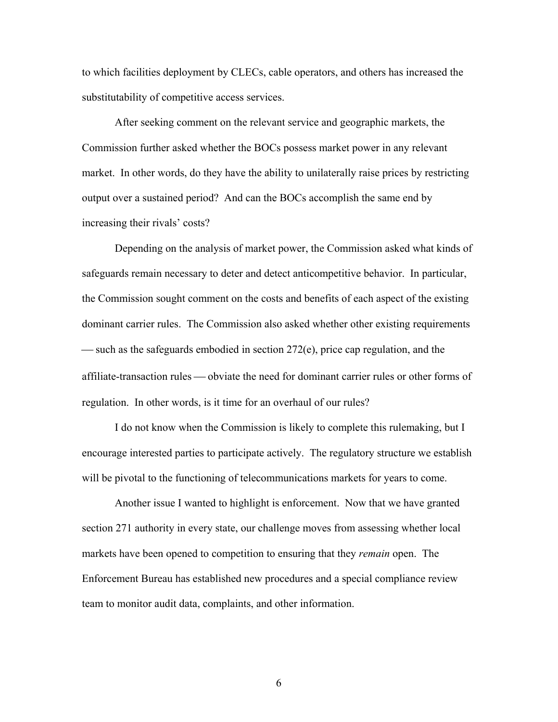to which facilities deployment by CLECs, cable operators, and others has increased the substitutability of competitive access services.

 After seeking comment on the relevant service and geographic markets, the Commission further asked whether the BOCs possess market power in any relevant market. In other words, do they have the ability to unilaterally raise prices by restricting output over a sustained period? And can the BOCs accomplish the same end by increasing their rivals' costs?

 Depending on the analysis of market power, the Commission asked what kinds of safeguards remain necessary to deter and detect anticompetitive behavior. In particular, the Commission sought comment on the costs and benefits of each aspect of the existing dominant carrier rules. The Commission also asked whether other existing requirements — such as the safeguards embodied in section  $272(e)$ , price cap regulation, and the affiliate-transaction rules — obviate the need for dominant carrier rules or other forms of regulation. In other words, is it time for an overhaul of our rules?

 I do not know when the Commission is likely to complete this rulemaking, but I encourage interested parties to participate actively. The regulatory structure we establish will be pivotal to the functioning of telecommunications markets for years to come.

 Another issue I wanted to highlight is enforcement. Now that we have granted section 271 authority in every state, our challenge moves from assessing whether local markets have been opened to competition to ensuring that they *remain* open. The Enforcement Bureau has established new procedures and a special compliance review team to monitor audit data, complaints, and other information.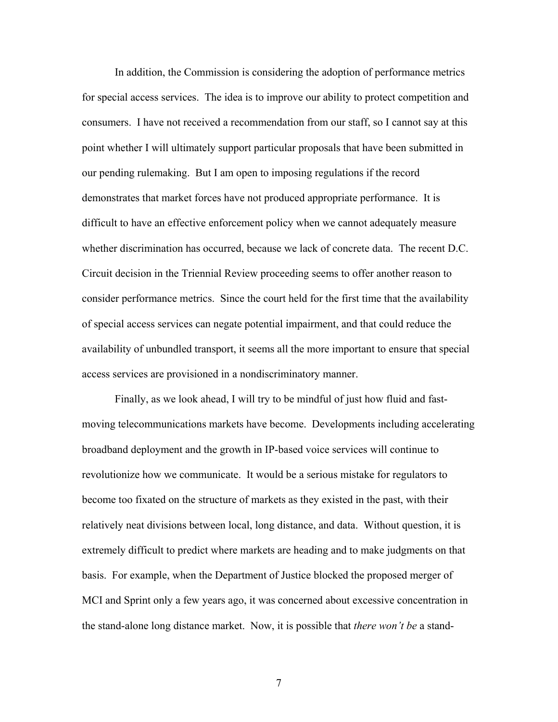In addition, the Commission is considering the adoption of performance metrics for special access services. The idea is to improve our ability to protect competition and consumers. I have not received a recommendation from our staff, so I cannot say at this point whether I will ultimately support particular proposals that have been submitted in our pending rulemaking. But I am open to imposing regulations if the record demonstrates that market forces have not produced appropriate performance. It is difficult to have an effective enforcement policy when we cannot adequately measure whether discrimination has occurred, because we lack of concrete data. The recent D.C. Circuit decision in the Triennial Review proceeding seems to offer another reason to consider performance metrics. Since the court held for the first time that the availability of special access services can negate potential impairment, and that could reduce the availability of unbundled transport, it seems all the more important to ensure that special access services are provisioned in a nondiscriminatory manner.

Finally, as we look ahead, I will try to be mindful of just how fluid and fastmoving telecommunications markets have become. Developments including accelerating broadband deployment and the growth in IP-based voice services will continue to revolutionize how we communicate. It would be a serious mistake for regulators to become too fixated on the structure of markets as they existed in the past, with their relatively neat divisions between local, long distance, and data. Without question, it is extremely difficult to predict where markets are heading and to make judgments on that basis. For example, when the Department of Justice blocked the proposed merger of MCI and Sprint only a few years ago, it was concerned about excessive concentration in the stand-alone long distance market. Now, it is possible that *there won't be* a stand-